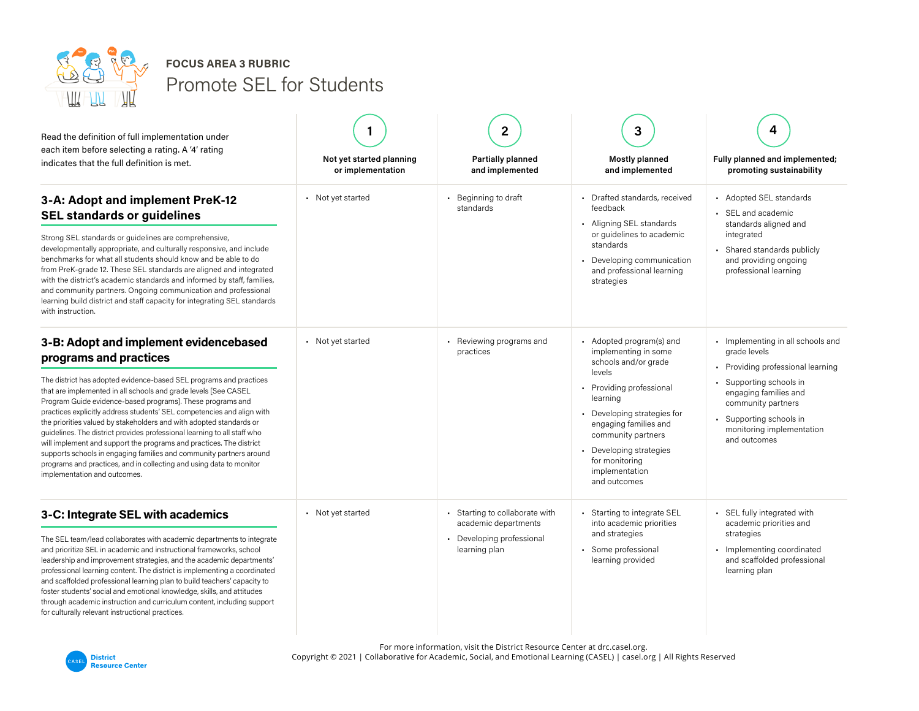

Promote SEL for Students **FOCUS AREA 3 RUBRIC**

| Read the definition of full implementation under<br>each item before selecting a rating. A '4' rating<br>indicates that the full definition is met.                                                                                                                                                                                                                                                                                                                                                                                                                                                                                                                                                                                                       | Not yet started planning<br>or implementation | $\mathbf{2}$<br><b>Partially planned</b><br>and implemented                                        | 3<br><b>Mostly planned</b><br>and implemented                                                                                                                                                                                                                                         | 4<br>Fully planned and implemented;<br>promoting sustainability                                                                                                                                                                    |
|-----------------------------------------------------------------------------------------------------------------------------------------------------------------------------------------------------------------------------------------------------------------------------------------------------------------------------------------------------------------------------------------------------------------------------------------------------------------------------------------------------------------------------------------------------------------------------------------------------------------------------------------------------------------------------------------------------------------------------------------------------------|-----------------------------------------------|----------------------------------------------------------------------------------------------------|---------------------------------------------------------------------------------------------------------------------------------------------------------------------------------------------------------------------------------------------------------------------------------------|------------------------------------------------------------------------------------------------------------------------------------------------------------------------------------------------------------------------------------|
| 3-A: Adopt and implement PreK-12<br><b>SEL standards or guidelines</b><br>Strong SEL standards or guidelines are comprehensive,<br>developmentally appropriate, and culturally responsive, and include<br>benchmarks for what all students should know and be able to do<br>from PreK-grade 12. These SEL standards are aligned and integrated<br>with the district's academic standards and informed by staff, families,<br>and community partners. Ongoing communication and professional<br>learning build district and staff capacity for integrating SEL standards<br>with instruction.                                                                                                                                                              | • Not yet started                             | • Beginning to draft<br>standards                                                                  | • Drafted standards, received<br>feedback<br>• Aligning SEL standards<br>or guidelines to academic<br>standards<br>• Developing communication<br>and professional learning<br>strategies                                                                                              | - Adopted SEL standards<br>• SEL and academic<br>standards aligned and<br>integrated<br>Shared standards publicly<br>and providing ongoing<br>professional learning                                                                |
| 3-B: Adopt and implement evidencebased<br>programs and practices<br>The district has adopted evidence-based SEL programs and practices<br>that are implemented in all schools and grade levels [See CASEL<br>Program Guide evidence-based programs]. These programs and<br>practices explicitly address students' SEL competencies and align with<br>the priorities valued by stakeholders and with adopted standards or<br>quidelines. The district provides professional learning to all staff who<br>will implement and support the programs and practices. The district<br>supports schools in engaging families and community partners around<br>programs and practices, and in collecting and using data to monitor<br>implementation and outcomes. | • Not yet started                             | • Reviewing programs and<br>practices                                                              | - Adopted program(s) and<br>implementing in some<br>schools and/or grade<br>levels<br>• Providing professional<br>learning<br>• Developing strategies for<br>engaging families and<br>community partners<br>Developing strategies<br>for monitoring<br>implementation<br>and outcomes | Implementing in all schools and<br>grade levels<br>• Providing professional learning<br>Supporting schools in<br>engaging families and<br>community partners<br>Supporting schools in<br>monitoring implementation<br>and outcomes |
| 3-C: Integrate SEL with academics<br>The SEL team/lead collaborates with academic departments to integrate<br>and prioritize SEL in academic and instructional frameworks, school<br>leadership and improvement strategies, and the academic departments'<br>professional learning content. The district is implementing a coordinated<br>and scaffolded professional learning plan to build teachers' capacity to<br>foster students' social and emotional knowledge, skills, and attitudes<br>through academic instruction and curriculum content, including support<br>for culturally relevant instructional practices.                                                                                                                                | • Not yet started                             | Starting to collaborate with<br>academic departments<br>• Developing professional<br>learning plan | Starting to integrate SEL<br>into academic priorities<br>and strategies<br>Some professional<br>learning provided                                                                                                                                                                     | · SEL fully integrated with<br>academic priorities and<br>strategies<br>Implementing coordinated<br>and scaffolded professional<br>learning plan                                                                                   |

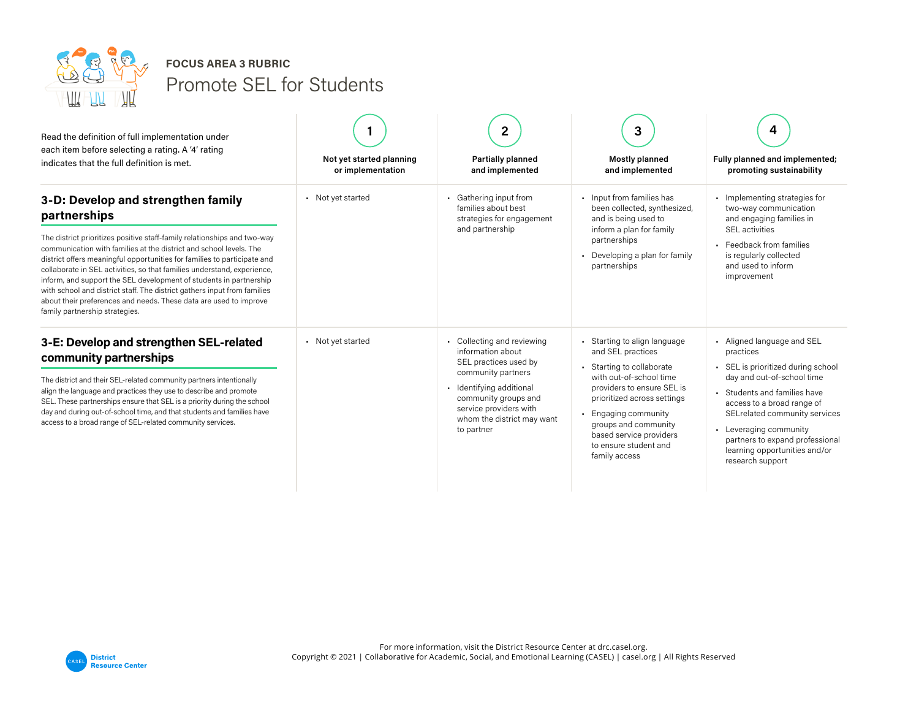

Promote SEL for Students **FOCUS AREA 3 RUBRIC**

| Read the definition of full implementation under<br>each item before selecting a rating. A '4' rating<br>indicates that the full definition is met.                                                                                                                                                                                                                                                                                                                                                                                                                                                                  | Not yet started planning<br>or implementation | 2<br><b>Partially planned</b><br>and implemented                                                                                                                                                                     | 3<br><b>Mostly planned</b><br>and implemented                                                                                                                                                                                                                                         | Fully planned and implemented;<br>promoting sustainability                                                                                                                                                                                                                                                               |
|----------------------------------------------------------------------------------------------------------------------------------------------------------------------------------------------------------------------------------------------------------------------------------------------------------------------------------------------------------------------------------------------------------------------------------------------------------------------------------------------------------------------------------------------------------------------------------------------------------------------|-----------------------------------------------|----------------------------------------------------------------------------------------------------------------------------------------------------------------------------------------------------------------------|---------------------------------------------------------------------------------------------------------------------------------------------------------------------------------------------------------------------------------------------------------------------------------------|--------------------------------------------------------------------------------------------------------------------------------------------------------------------------------------------------------------------------------------------------------------------------------------------------------------------------|
| 3-D: Develop and strengthen family<br>partnerships<br>The district prioritizes positive staff-family relationships and two-way<br>communication with families at the district and school levels. The<br>district offers meaningful opportunities for families to participate and<br>collaborate in SEL activities, so that families understand, experience,<br>inform, and support the SEL development of students in partnership<br>with school and district staff. The district gathers input from families<br>about their preferences and needs. These data are used to improve<br>family partnership strategies. | • Not yet started                             | • Gathering input from<br>families about best<br>strategies for engagement<br>and partnership                                                                                                                        | . Input from families has<br>been collected, synthesized,<br>and is being used to<br>inform a plan for family<br>partnerships<br>Developing a plan for family<br>partnerships                                                                                                         | Implementing strategies for<br>two-way communication<br>and engaging families in<br><b>SEL</b> activities<br>• Feedback from families<br>is regularly collected<br>and used to inform<br>improvement                                                                                                                     |
| 3-E: Develop and strengthen SEL-related<br>community partnerships<br>The district and their SEL-related community partners intentionally<br>align the language and practices they use to describe and promote<br>SEL. These partnerships ensure that SEL is a priority during the school<br>day and during out-of-school time, and that students and families have<br>access to a broad range of SEL-related community services.                                                                                                                                                                                     | • Not yet started                             | Collecting and reviewing<br>information about<br>SEL practices used by<br>community partners<br>Identifying additional<br>community groups and<br>service providers with<br>whom the district may want<br>to partner | Starting to align language<br>and SEL practices<br>Starting to collaborate<br>with out-of-school time<br>providers to ensure SEL is<br>prioritized across settings<br>Engaging community<br>groups and community<br>based service providers<br>to ensure student and<br>family access | • Aligned language and SEL<br>practices<br>SEL is prioritized during school<br>day and out-of-school time<br>Students and families have<br>access to a broad range of<br>SELrelated community services<br>• Leveraging community<br>partners to expand professional<br>learning opportunities and/or<br>research support |